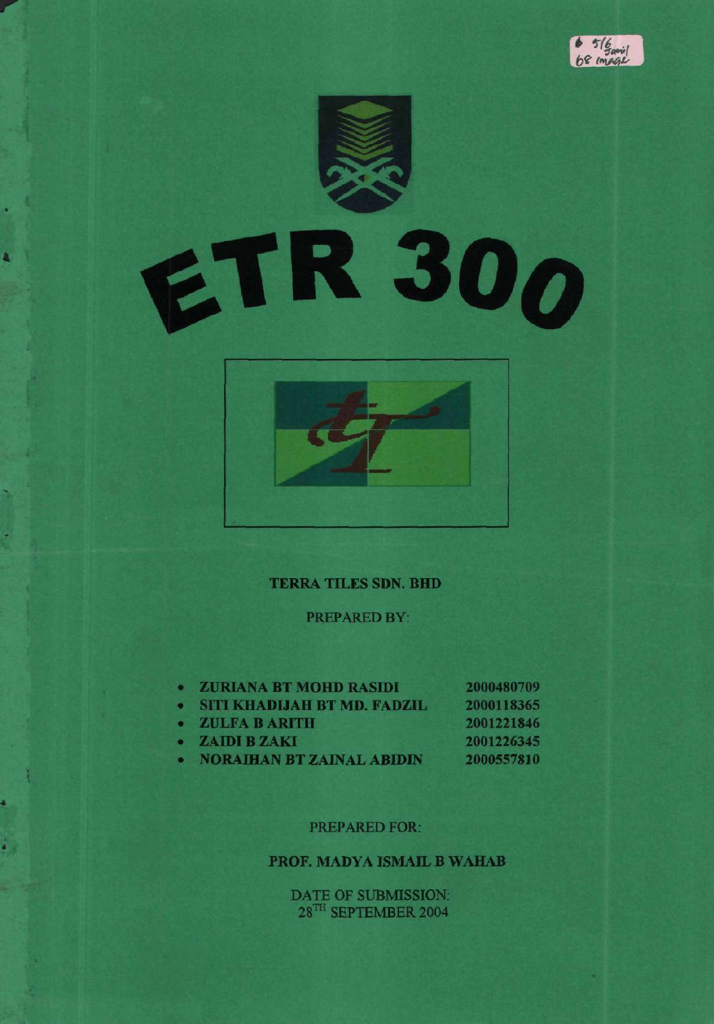





#### TERRA TILES SDN. BHD

PREPARED BY:

| $\bullet$ | <b>ZURIANA BT MOHD RASIDI</b>      | 2000480709 |
|-----------|------------------------------------|------------|
| $\sim$    | <b>SITI KHADIJAH BT MD. FADZIL</b> | 2000118365 |
| $\bullet$ | ZULFA B ARITH                      | 2001221846 |
| $\bullet$ | <b>ZAIDI B ZAKI</b>                | 2001226345 |
|           | <b>NORAIHAN BT ZAINAL ABIDIN</b>   | 2000557810 |

#### PREPARED FOR:

# PROF. MADYA ISMAIL B WAHAB

DATE OF SUBMISSION. 28<sup>TH</sup> SEPTEMBER 2004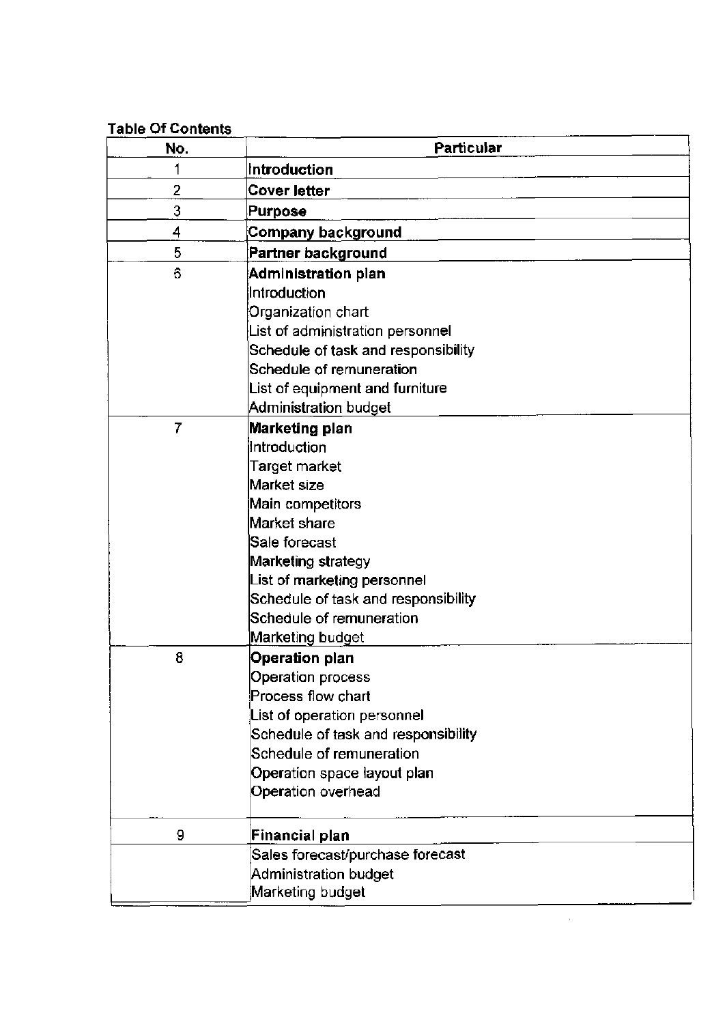| Table Of Contents |                                     |  |  |  |
|-------------------|-------------------------------------|--|--|--|
| No.               | Particular                          |  |  |  |
| 1                 | Introduction                        |  |  |  |
| 2                 | <b>Cover letter</b>                 |  |  |  |
| 3                 | <b>Purpose</b>                      |  |  |  |
| 4                 | Company background                  |  |  |  |
| 5                 | Partner background                  |  |  |  |
| 6                 | Administration plan                 |  |  |  |
|                   | Introduction                        |  |  |  |
|                   | Organization chart                  |  |  |  |
|                   | List of administration personnel    |  |  |  |
|                   | Schedule of task and responsibility |  |  |  |
|                   | Schedule of remuneration            |  |  |  |
|                   | List of equipment and furniture     |  |  |  |
|                   | Administration budget               |  |  |  |
| 7                 | Marketing plan                      |  |  |  |
|                   | Introduction                        |  |  |  |
|                   | Target market                       |  |  |  |
|                   | Market size                         |  |  |  |
|                   | Main competitors                    |  |  |  |
|                   | Market share                        |  |  |  |
|                   | Sale forecast                       |  |  |  |
|                   | Marketing strategy                  |  |  |  |
|                   | List of marketing personnel         |  |  |  |
|                   | Schedule of task and responsibility |  |  |  |
|                   | Schedule of remuneration            |  |  |  |
|                   | Marketing budget                    |  |  |  |
| 8                 | <b>Operation plan</b>               |  |  |  |
|                   | Operation process                   |  |  |  |
|                   | Process flow chart                  |  |  |  |
|                   | List of operation personnel         |  |  |  |
|                   | Schedule of task and responsibility |  |  |  |
|                   | Schedule of remuneration            |  |  |  |
|                   | Operation space layout plan         |  |  |  |
|                   | Operation overhead                  |  |  |  |
| 9                 | Financial plan                      |  |  |  |
|                   | Sales forecast/purchase forecast    |  |  |  |
|                   | Administration budget               |  |  |  |
|                   | Marketing budget                    |  |  |  |

 $\bar{z}$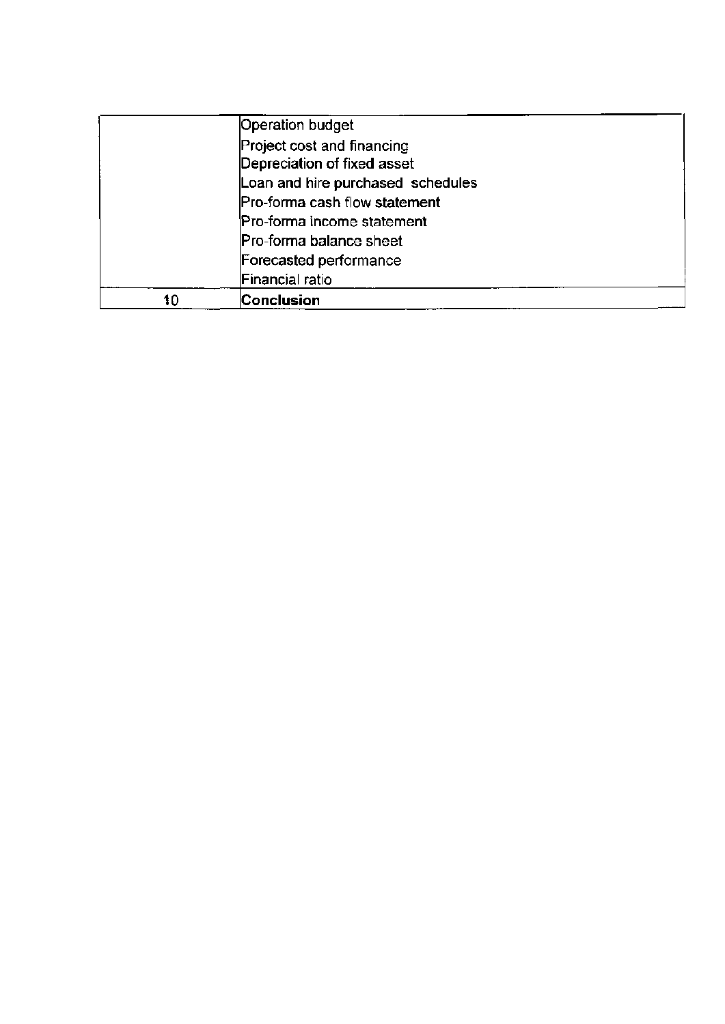|    | Operation budget                  |  |
|----|-----------------------------------|--|
|    | Project cost and financing        |  |
|    | Depreciation of fixed asset       |  |
|    | Loan and hire purchased schedules |  |
|    | Pro-forma cash flow statement     |  |
|    | Pro-forma income statement        |  |
|    | Pro-forma balance sheet           |  |
|    | Forecasted performance            |  |
|    | Financial ratio                   |  |
| 10 | Conclusion                        |  |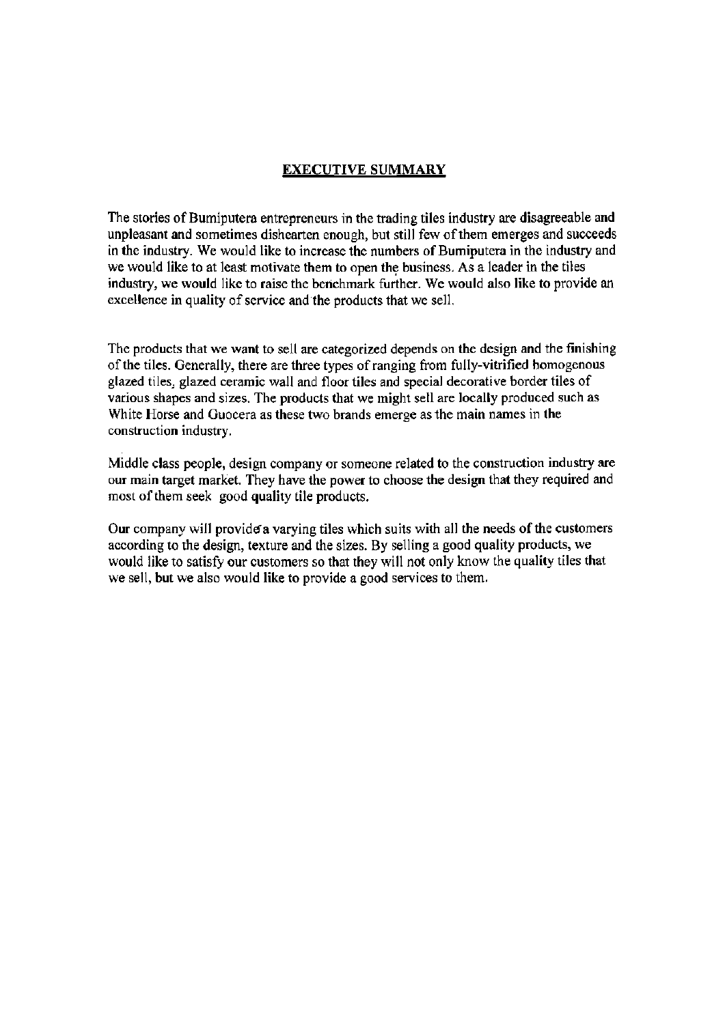## EXECUTIVE SUMMARY

The stories of Bumiputera entrepreneurs in the trading tiles industry are disagreeable and unpleasant and sometimes dishearten enough, but still few of them emerges and succeeds in the industry. We would like to increase the numbers of Bumiputera in the industry and we would like to at least motivate them to open the business. As a leader in the tiles industry, we would like to raise the benchmark further. We would also like to provide an excellence in quality of service and the products that we sell,

The products that we want to sell are categorized depends on the design and the finishing of the tiles. Generally, there are three types of ranging from fully-vitrified homogenous glazed tiles, glazed ceramic wall and floor tiles and special decorative border tiles of various shapes and sizes. The products that we might sell are locally produced such as White Horse and Guocera as these two brands emerge as the main names in the construction industry.

Middle class people, design company or someone related to the construction industry are our main target market. They have the power to choose the design that they required and most of them seek good quality tile products.

Our company will provide a varying tiles which suits with all the needs of the customers according to the design, texture and the sizes. By selling a good quality products, we would like to satisfy our customers so that they will not only know the quality tiles that we sell, but we also would like to provide a good services to them.